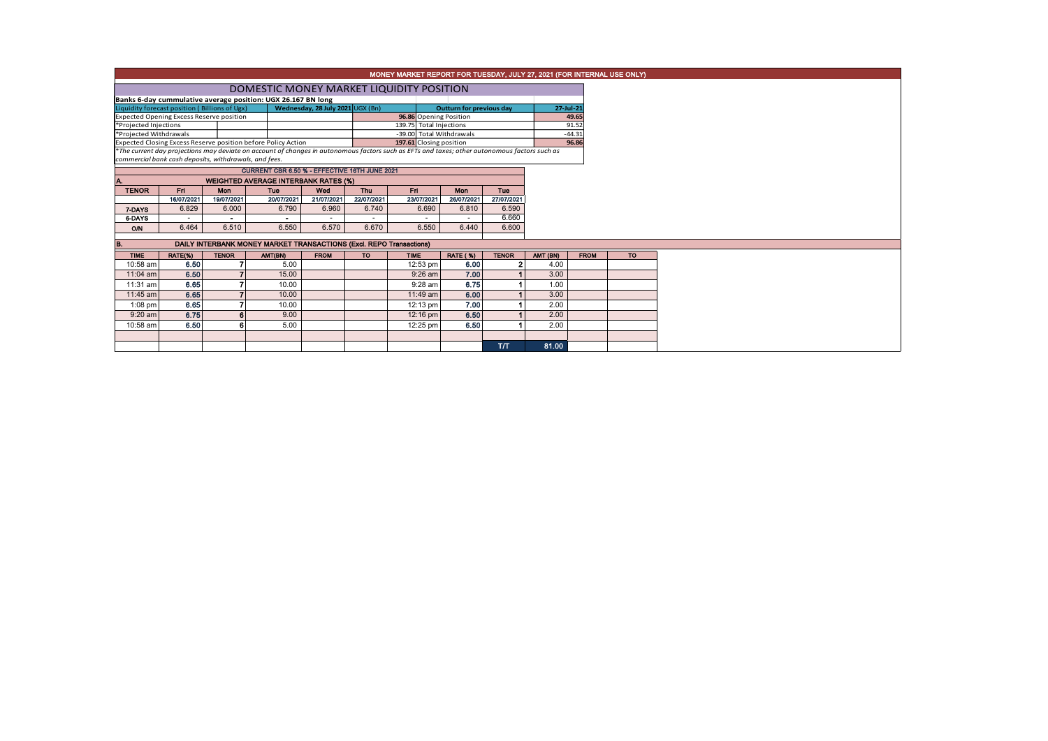|                                                       | MONEY MARKET REPORT FOR TUESDAY, JULY 27, 2021 (FOR INTERNAL USE ONLY)                                                                                                                                                                    |              |                                                                     |                                  |                                 |                        |                 |              |           |             |  |  |  |  |
|-------------------------------------------------------|-------------------------------------------------------------------------------------------------------------------------------------------------------------------------------------------------------------------------------------------|--------------|---------------------------------------------------------------------|----------------------------------|---------------------------------|------------------------|-----------------|--------------|-----------|-------------|--|--|--|--|
|                                                       | DOMESTIC MONEY MARKET LIQUIDITY POSITION                                                                                                                                                                                                  |              |                                                                     |                                  |                                 |                        |                 |              |           |             |  |  |  |  |
|                                                       | Banks 6-day cummulative average position: UGX 26.167 BN long                                                                                                                                                                              |              |                                                                     |                                  |                                 |                        |                 |              |           |             |  |  |  |  |
|                                                       | Liquidity forecast position (Billions of Ugx)                                                                                                                                                                                             |              |                                                                     | Wednesday, 28 July 2021 UGX (Bn) | <b>Outturn for previous day</b> |                        |                 |              | 27-Jul-21 |             |  |  |  |  |
| <b>Expected Opening Excess Reserve position</b>       |                                                                                                                                                                                                                                           |              |                                                                     |                                  |                                 | 96.86 Opening Position |                 |              |           | 49.65       |  |  |  |  |
| *Projected Injections                                 |                                                                                                                                                                                                                                           |              |                                                                     |                                  | 139.75 Total Injections         |                        |                 |              |           | 91.52       |  |  |  |  |
| *Projected Withdrawals                                |                                                                                                                                                                                                                                           |              |                                                                     |                                  | -39.00 Total Withdrawals        |                        |                 |              |           | $-44.31$    |  |  |  |  |
|                                                       | Expected Closing Excess Reserve position before Policy Action<br>197.61 Closing position<br>*The current day projections may deviate on account of changes in autonomous factors such as EFTs and taxes; other autonomous factors such as |              |                                                                     |                                  |                                 |                        |                 |              |           | 96.86       |  |  |  |  |
| commercial bank cash deposits, withdrawals, and fees. |                                                                                                                                                                                                                                           |              |                                                                     |                                  |                                 |                        |                 |              |           |             |  |  |  |  |
|                                                       |                                                                                                                                                                                                                                           |              | CURRENT CBR 6.50 % - EFFECTIVE 16TH JUNE 2021                       |                                  |                                 |                        |                 |              |           |             |  |  |  |  |
|                                                       |                                                                                                                                                                                                                                           |              | <b>WEIGHTED AVERAGE INTERBANK RATES (%)</b>                         |                                  |                                 |                        |                 |              |           |             |  |  |  |  |
| <b>TENOR</b>                                          | Fri                                                                                                                                                                                                                                       | Mon          | Tue                                                                 | Wed                              | <b>Thu</b>                      | Fri.                   | Mon             | Tue          |           |             |  |  |  |  |
|                                                       | 19/07/2021<br>20/07/2021<br>21/07/2021<br>22/07/2021<br>23/07/2021<br>26/07/2021<br>27/07/2021<br>16/07/2021                                                                                                                              |              |                                                                     |                                  |                                 |                        |                 |              |           |             |  |  |  |  |
| 7-DAYS                                                | 6.829                                                                                                                                                                                                                                     | 6.000        | 6.790                                                               | 6.960                            | 6.740                           | 6.690                  | 6.810           | 6.590        |           |             |  |  |  |  |
| 6-DAYS                                                |                                                                                                                                                                                                                                           |              | $\overline{\phantom{a}}$                                            |                                  |                                 |                        |                 | 6.660        |           |             |  |  |  |  |
| O/N                                                   | 6.464                                                                                                                                                                                                                                     | 6.510        | 6.550                                                               | 6.570                            | 6.670                           | 6.550                  | 6.440           | 6.600        |           |             |  |  |  |  |
|                                                       |                                                                                                                                                                                                                                           |              |                                                                     |                                  |                                 |                        |                 |              |           |             |  |  |  |  |
| IB.                                                   |                                                                                                                                                                                                                                           |              | DAILY INTERBANK MONEY MARKET TRANSACTIONS (Excl. REPO Transactions) |                                  |                                 |                        |                 |              |           |             |  |  |  |  |
| <b>TIME</b>                                           | RATE(%)                                                                                                                                                                                                                                   | <b>TENOR</b> | AMT(BN)                                                             | <b>FROM</b>                      | <b>TO</b>                       | <b>TIME</b>            | <b>RATE (%)</b> | <b>TENOR</b> | AMT (BN)  | <b>FROM</b> |  |  |  |  |
| 10:58 am                                              | 6.50                                                                                                                                                                                                                                      |              | 5.00                                                                |                                  |                                 | 12:53 pm               | 6.00            | 2            | 4.00      |             |  |  |  |  |
| $11:04$ am                                            | 6.50                                                                                                                                                                                                                                      |              | 15.00                                                               |                                  |                                 | $9:26$ am              | 7.00            |              | 3.00      |             |  |  |  |  |
| 11:31 am                                              | 6.65                                                                                                                                                                                                                                      |              | 10.00                                                               |                                  |                                 | 9:28 am                | 6.75            |              | 1.00      |             |  |  |  |  |
| 11:45 am                                              | 6.65                                                                                                                                                                                                                                      |              | 10.00                                                               |                                  |                                 | 11:49 am               | 6.00            |              | 3.00      |             |  |  |  |  |
| $1:08$ pm                                             | 6.65                                                                                                                                                                                                                                      |              | 10.00                                                               |                                  |                                 | 12:13 pm               | 7.00            |              | 2.00      |             |  |  |  |  |
| $9:20$ am                                             | 6.75                                                                                                                                                                                                                                      | 6            | 9.00                                                                |                                  |                                 | 12:16 pm               | 6.50            |              | 2.00      |             |  |  |  |  |
| 10:58 am                                              | 6.50                                                                                                                                                                                                                                      | 6            | 5.00                                                                |                                  |                                 | 12:25 pm               | 6.50            |              | 2.00      |             |  |  |  |  |
|                                                       |                                                                                                                                                                                                                                           |              |                                                                     |                                  |                                 |                        |                 |              |           |             |  |  |  |  |
| T/T                                                   |                                                                                                                                                                                                                                           |              |                                                                     |                                  |                                 |                        |                 |              |           |             |  |  |  |  |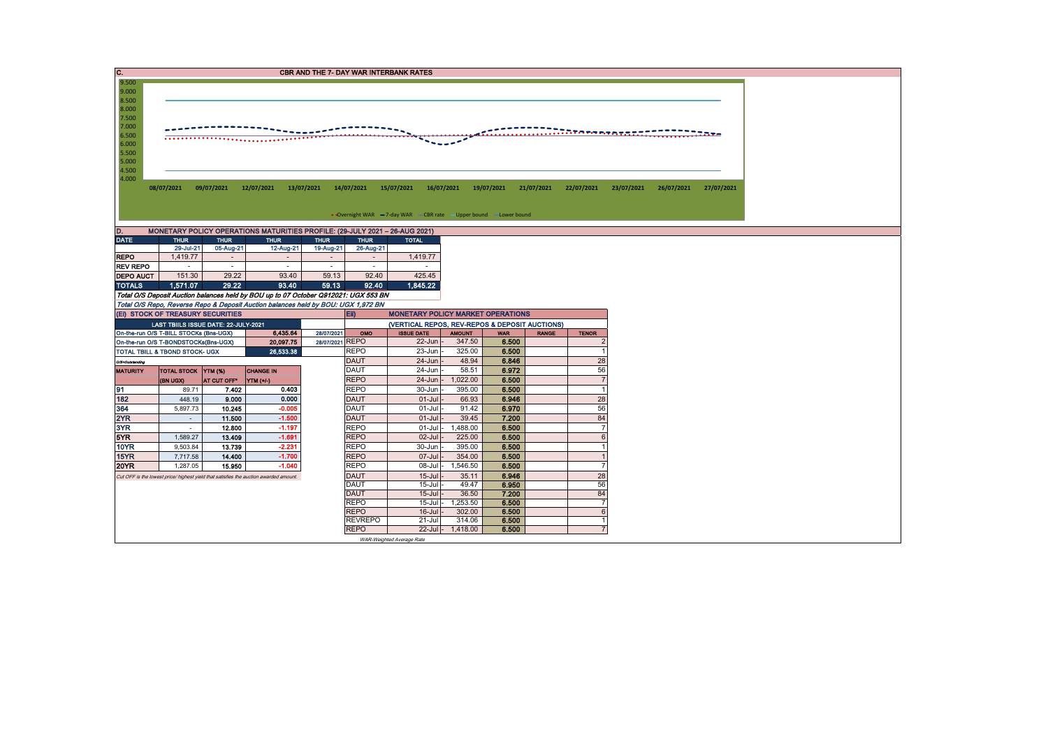| C.<br><b>CBR AND THE 7- DAY WAR INTERBANK RATES</b>                                                                                                                                         |                                                                             |                          |                                                                                       |                                                                                     |                                                |                   |                |                              |                                                                                                                                                                                                                                                                                                                                                     |  |  |  |  |  |  |
|---------------------------------------------------------------------------------------------------------------------------------------------------------------------------------------------|-----------------------------------------------------------------------------|--------------------------|---------------------------------------------------------------------------------------|-------------------------------------------------------------------------------------|------------------------------------------------|-------------------|----------------|------------------------------|-----------------------------------------------------------------------------------------------------------------------------------------------------------------------------------------------------------------------------------------------------------------------------------------------------------------------------------------------------|--|--|--|--|--|--|
| 9.500                                                                                                                                                                                       |                                                                             |                          |                                                                                       |                                                                                     |                                                |                   |                |                              |                                                                                                                                                                                                                                                                                                                                                     |  |  |  |  |  |  |
| 9.000                                                                                                                                                                                       |                                                                             |                          |                                                                                       |                                                                                     |                                                |                   |                |                              |                                                                                                                                                                                                                                                                                                                                                     |  |  |  |  |  |  |
| 8.500<br>8.000                                                                                                                                                                              |                                                                             |                          |                                                                                       |                                                                                     |                                                |                   |                |                              |                                                                                                                                                                                                                                                                                                                                                     |  |  |  |  |  |  |
| 7.500                                                                                                                                                                                       |                                                                             |                          |                                                                                       |                                                                                     |                                                |                   |                |                              |                                                                                                                                                                                                                                                                                                                                                     |  |  |  |  |  |  |
| 7.000                                                                                                                                                                                       |                                                                             |                          |                                                                                       |                                                                                     |                                                |                   |                |                              |                                                                                                                                                                                                                                                                                                                                                     |  |  |  |  |  |  |
| 6.500                                                                                                                                                                                       |                                                                             |                          |                                                                                       |                                                                                     |                                                |                   |                |                              | $\overline{1}$ , $\overline{1}$ , $\overline{1}$ , $\overline{1}$ , $\overline{1}$ , $\overline{1}$ , $\overline{1}$ , $\overline{1}$ , $\overline{1}$ , $\overline{1}$ , $\overline{1}$ , $\overline{1}$ , $\overline{1}$ , $\overline{1}$ , $\overline{1}$ , $\overline{1}$ , $\overline{1}$ , $\overline{1}$ , $\overline{1}$ , $\overline{1}$ , |  |  |  |  |  |  |
| 6.000                                                                                                                                                                                       |                                                                             |                          |                                                                                       |                                                                                     |                                                |                   |                |                              |                                                                                                                                                                                                                                                                                                                                                     |  |  |  |  |  |  |
| 5.500                                                                                                                                                                                       |                                                                             |                          |                                                                                       |                                                                                     |                                                |                   |                |                              |                                                                                                                                                                                                                                                                                                                                                     |  |  |  |  |  |  |
| 5.000                                                                                                                                                                                       |                                                                             |                          |                                                                                       |                                                                                     |                                                |                   |                |                              |                                                                                                                                                                                                                                                                                                                                                     |  |  |  |  |  |  |
| 4.500                                                                                                                                                                                       |                                                                             |                          |                                                                                       |                                                                                     |                                                |                   |                |                              |                                                                                                                                                                                                                                                                                                                                                     |  |  |  |  |  |  |
| 4.000<br>08/07/2021<br>09/07/2021<br>12/07/2021<br>13/07/2021<br>14/07/2021<br>15/07/2021<br>16/07/2021<br>19/07/2021<br>21/07/2021<br>22/07/2021<br>23/07/2021<br>26/07/2021<br>27/07/2021 |                                                                             |                          |                                                                                       |                                                                                     |                                                |                   |                |                              |                                                                                                                                                                                                                                                                                                                                                     |  |  |  |  |  |  |
|                                                                                                                                                                                             |                                                                             |                          |                                                                                       |                                                                                     |                                                |                   |                |                              |                                                                                                                                                                                                                                                                                                                                                     |  |  |  |  |  |  |
|                                                                                                                                                                                             |                                                                             |                          |                                                                                       |                                                                                     |                                                |                   |                |                              |                                                                                                                                                                                                                                                                                                                                                     |  |  |  |  |  |  |
|                                                                                                                                                                                             | • Overnight WAR -7-day WAR - CBR rate - Upper bound - Lower bound           |                          |                                                                                       |                                                                                     |                                                |                   |                |                              |                                                                                                                                                                                                                                                                                                                                                     |  |  |  |  |  |  |
|                                                                                                                                                                                             | MONETARY POLICY OPERATIONS MATURITIES PROFILE: (29-JULY 2021 - 26-AUG 2021) |                          |                                                                                       |                                                                                     |                                                |                   |                |                              |                                                                                                                                                                                                                                                                                                                                                     |  |  |  |  |  |  |
| D.                                                                                                                                                                                          |                                                                             |                          |                                                                                       |                                                                                     |                                                |                   |                |                              |                                                                                                                                                                                                                                                                                                                                                     |  |  |  |  |  |  |
| <b>DATE</b>                                                                                                                                                                                 | <b>THUR</b><br>29-Jul-21                                                    | <b>THUR</b><br>05-Aug-21 | <b>THUR</b><br>12-Aug-21                                                              | <b>THUR</b><br><b>THUR</b><br>19-Aug-21<br>26-Aug-21                                | <b>TOTAL</b>                                   |                   |                |                              |                                                                                                                                                                                                                                                                                                                                                     |  |  |  |  |  |  |
| <b>REPO</b>                                                                                                                                                                                 | 1,419.77                                                                    | $\sim$                   | $\sim$                                                                                | $\sim$<br>$\sim$                                                                    | 1,419.77                                       |                   |                |                              |                                                                                                                                                                                                                                                                                                                                                     |  |  |  |  |  |  |
| <b>REV REPO</b>                                                                                                                                                                             |                                                                             | $\sim$                   | $\sim$                                                                                | $\sim$<br>$\sim$                                                                    |                                                |                   |                |                              |                                                                                                                                                                                                                                                                                                                                                     |  |  |  |  |  |  |
| <b>DEPO AUCT</b>                                                                                                                                                                            | 151.30                                                                      | 29.22                    | 93.40                                                                                 | 92.40<br>59.13                                                                      | 425.45                                         |                   |                |                              |                                                                                                                                                                                                                                                                                                                                                     |  |  |  |  |  |  |
| <b>TOTALS</b>                                                                                                                                                                               | 1,571.07                                                                    | 29.22                    | 93.40                                                                                 | 59.13<br>92.40                                                                      | 1,845.22                                       |                   |                |                              |                                                                                                                                                                                                                                                                                                                                                     |  |  |  |  |  |  |
|                                                                                                                                                                                             |                                                                             |                          |                                                                                       | Total O/S Deposit Auction balances held by BOU up to 07 October Q912021: UGX 553 BN |                                                |                   |                |                              |                                                                                                                                                                                                                                                                                                                                                     |  |  |  |  |  |  |
|                                                                                                                                                                                             |                                                                             |                          |                                                                                       | Total O/S Repo, Reverse Repo & Deposit Auction balances held by BOU: UGX 1,972 BN   |                                                |                   |                |                              |                                                                                                                                                                                                                                                                                                                                                     |  |  |  |  |  |  |
|                                                                                                                                                                                             | (EI) STOCK OF TREASURY SECURITIES                                           |                          |                                                                                       | Eii)                                                                                | <b>MONETARY POLICY MARKET OPERATIONS</b>       |                   |                |                              |                                                                                                                                                                                                                                                                                                                                                     |  |  |  |  |  |  |
|                                                                                                                                                                                             | LAST TBIILS ISSUE DATE: 22-JULY-2021                                        |                          |                                                                                       |                                                                                     | (VERTICAL REPOS, REV-REPOS & DEPOSIT AUCTIONS) |                   |                |                              |                                                                                                                                                                                                                                                                                                                                                     |  |  |  |  |  |  |
|                                                                                                                                                                                             | On-the-run O/S T-BILL STOCKs (Bns-UGX)                                      |                          | 6,435.64                                                                              | 28/07/2021<br>OMO                                                                   | <b>ISSUE DATE</b>                              | <b>AMOUNT</b>     | <b>WAR</b>     | <b>RANGE</b><br><b>TENOR</b> |                                                                                                                                                                                                                                                                                                                                                     |  |  |  |  |  |  |
|                                                                                                                                                                                             | On-the-run O/S T-BONDSTOCKs(Bns-UGX)                                        |                          | 20,097.75                                                                             | 28/07/2021 REPO                                                                     | $22$ -Jun                                      | 347.50            | 6.500          |                              | $\mathcal{P}$                                                                                                                                                                                                                                                                                                                                       |  |  |  |  |  |  |
|                                                                                                                                                                                             | TOTAL TBILL & TBOND STOCK- UGX                                              |                          | 26.533.38                                                                             | <b>REPO</b>                                                                         | 23-Jun                                         | 325.00            | 6.500          |                              |                                                                                                                                                                                                                                                                                                                                                     |  |  |  |  |  |  |
| <b>O/S-Outstanding</b>                                                                                                                                                                      |                                                                             |                          |                                                                                       |                                                                                     |                                                |                   |                |                              | $\overline{1}$                                                                                                                                                                                                                                                                                                                                      |  |  |  |  |  |  |
| <b>MATURITY</b>                                                                                                                                                                             | <b>TOTAL STOCK YTM (%)</b>                                                  |                          |                                                                                       | <b>DAUT</b>                                                                         | $24 - Jun$                                     | 48.94             | 6.846          |                              | 28                                                                                                                                                                                                                                                                                                                                                  |  |  |  |  |  |  |
|                                                                                                                                                                                             |                                                                             |                          | <b>CHANGE IN</b>                                                                      | <b>DAUT</b>                                                                         | 24-Jun                                         | 58.51             | 6.972          |                              | 56                                                                                                                                                                                                                                                                                                                                                  |  |  |  |  |  |  |
| 91                                                                                                                                                                                          | (BN UGX)                                                                    | AT CUT OFF*              | YTM (+/)                                                                              | <b>REPO</b>                                                                         | $24$ -Jun $-$                                  | 1.022.00          | 6.500          |                              | $\overline{7}$                                                                                                                                                                                                                                                                                                                                      |  |  |  |  |  |  |
|                                                                                                                                                                                             | 89.71                                                                       | 7.402                    | 0.403                                                                                 | <b>REPO</b>                                                                         | 30-Jun                                         | 395.00            | 6.500          |                              | $\overline{1}$                                                                                                                                                                                                                                                                                                                                      |  |  |  |  |  |  |
| 182                                                                                                                                                                                         | 448.19                                                                      | 9.000                    | 0.000                                                                                 | <b>DAUT</b>                                                                         | $01$ -Jul                                      | 66.93             | 6.946          |                              | 28                                                                                                                                                                                                                                                                                                                                                  |  |  |  |  |  |  |
| 364                                                                                                                                                                                         | 5,897.73                                                                    | 10.245                   | $-0.005$                                                                              | <b>DAUT</b>                                                                         | $01$ -Jul                                      | 91.42             | 6.970          |                              | 56                                                                                                                                                                                                                                                                                                                                                  |  |  |  |  |  |  |
| 2YR                                                                                                                                                                                         | $\sim$                                                                      | 11.500                   | $-1.500$                                                                              | <b>DAUT</b>                                                                         | $01$ -Jul                                      | 39.45             | 7.200          |                              | 84                                                                                                                                                                                                                                                                                                                                                  |  |  |  |  |  |  |
| 3YR                                                                                                                                                                                         | $\sim$                                                                      | 12.800                   | $-1.197$                                                                              | <b>REPO</b>                                                                         | $01$ -Jul -                                    | 1.488.00          | 6.500          |                              | $\overline{7}$                                                                                                                                                                                                                                                                                                                                      |  |  |  |  |  |  |
| 5YR                                                                                                                                                                                         | 1,589.27                                                                    | 13.409                   | $-1.691$                                                                              | <b>REPO</b>                                                                         | $02$ -Jul                                      | 225.00            | 6.500          |                              | 6<br>$\overline{1}$                                                                                                                                                                                                                                                                                                                                 |  |  |  |  |  |  |
| <b>10YR</b>                                                                                                                                                                                 | 9,503.84                                                                    | 13.739                   | $-2.231$                                                                              | <b>REPO</b>                                                                         | 30-Jun                                         | 395.00            | 6.500          |                              | $\overline{1}$                                                                                                                                                                                                                                                                                                                                      |  |  |  |  |  |  |
| 15YR                                                                                                                                                                                        | 7,717.58                                                                    | 14,400                   | $-1.700$                                                                              | <b>REPO</b>                                                                         | $07 -$ Jul                                     | 354.00            | 6.500          |                              | $\overline{7}$                                                                                                                                                                                                                                                                                                                                      |  |  |  |  |  |  |
| <b>20YR</b>                                                                                                                                                                                 | 1,287.05                                                                    | 15.950                   | $-1.040$                                                                              | <b>REPO</b><br><b>DAUT</b>                                                          | $08$ -Jul -<br>$15$ -Jul                       | 1,546.50<br>35.11 | 6.500<br>6.946 |                              |                                                                                                                                                                                                                                                                                                                                                     |  |  |  |  |  |  |
|                                                                                                                                                                                             |                                                                             |                          | Cut OFF is the lowest price/ highest yield that satisfies the auction awarded amount. | <b>DAUT</b>                                                                         | $15 -$ Jul                                     | 49.47             | 6.950          |                              | 28<br>56                                                                                                                                                                                                                                                                                                                                            |  |  |  |  |  |  |
|                                                                                                                                                                                             |                                                                             |                          |                                                                                       | <b>DAUT</b>                                                                         | $15$ -Jul                                      | 36.50             | 7.200          |                              | 84                                                                                                                                                                                                                                                                                                                                                  |  |  |  |  |  |  |
|                                                                                                                                                                                             |                                                                             |                          |                                                                                       | <b>REPO</b>                                                                         | $15$ -Jul $-$                                  | 1,253.50          | 6.500          |                              | $\overline{7}$                                                                                                                                                                                                                                                                                                                                      |  |  |  |  |  |  |
|                                                                                                                                                                                             |                                                                             |                          |                                                                                       | <b>REPO</b>                                                                         | $16 -$ Jul                                     | 302.00            | 6.500          |                              | 6                                                                                                                                                                                                                                                                                                                                                   |  |  |  |  |  |  |
|                                                                                                                                                                                             |                                                                             |                          |                                                                                       | <b>REVREPO</b>                                                                      | $21 -$ Jul                                     | 314.06            | 6.500          |                              | $\mathbf{1}$                                                                                                                                                                                                                                                                                                                                        |  |  |  |  |  |  |
|                                                                                                                                                                                             |                                                                             |                          |                                                                                       | <b>REPO</b>                                                                         | WAR-Weighted Average Rate                      | 22-Jul - 1,418.00 | 6.500          |                              |                                                                                                                                                                                                                                                                                                                                                     |  |  |  |  |  |  |